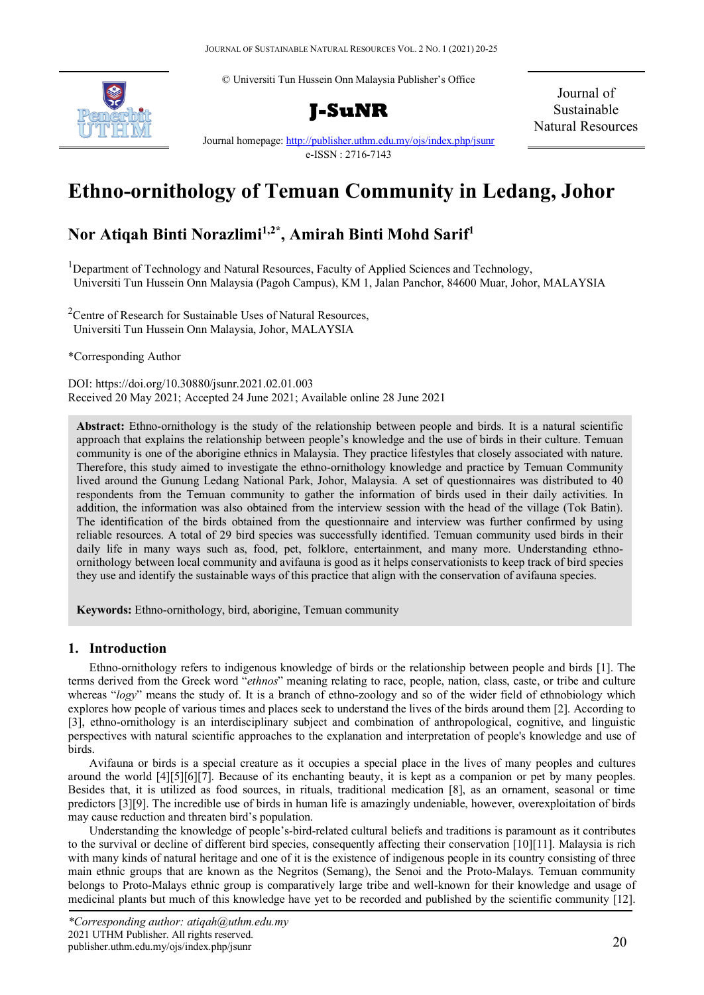© Universiti Tun Hussein Onn Malaysia Publisher's Office



**J-SuNR**

Journal of Sustainable Natural Resources

Journal homepage:<http://publisher.uthm.edu.my/ojs/index.php/jsunr> e-ISSN : 2716-7143

# **Ethno-ornithology of Temuan Community in Ledang, Johor**

## **Nor Atiqah Binti Norazlimi1,2\* , Amirah Binti Mohd Sarif1**

<sup>1</sup>Department of Technology and Natural Resources, Faculty of Applied Sciences and Technology, Universiti Tun Hussein Onn Malaysia (Pagoh Campus), KM 1, Jalan Panchor, 84600 Muar, Johor, MALAYSIA

<sup>2</sup> Centre of Research for Sustainable Uses of Natural Resources, Universiti Tun Hussein Onn Malaysia, Johor, MALAYSIA

\*Corresponding Author

DOI: https://doi.org/10.30880/jsunr.2021.02.01.003 Received 20 May 2021; Accepted 24 June 2021; Available online 28 June 2021

**Abstract:** Ethno-ornithology is the study of the relationship between people and birds. It is a natural scientific approach that explains the relationship between people's knowledge and the use of birds in their culture. Temuan community is one of the aborigine ethnics in Malaysia. They practice lifestyles that closely associated with nature. Therefore, this study aimed to investigate the ethno-ornithology knowledge and practice by Temuan Community lived around the Gunung Ledang National Park, Johor, Malaysia. A set of questionnaires was distributed to 40 respondents from the Temuan community to gather the information of birds used in their daily activities. In addition, the information was also obtained from the interview session with the head of the village (Tok Batin). The identification of the birds obtained from the questionnaire and interview was further confirmed by using reliable resources. A total of 29 bird species was successfully identified. Temuan community used birds in their daily life in many ways such as, food, pet, folklore, entertainment, and many more. Understanding ethnoornithology between local community and avifauna is good as it helps conservationists to keep track of bird species they use and identify the sustainable ways of this practice that align with the conservation of avifauna species.

**Keywords:** Ethno-ornithology, bird, aborigine, Temuan community

#### **1. Introduction**

Ethno-ornithology refers to indigenous knowledge of birds or the relationship between people and birds [1]. The terms derived from the Greek word "*ethnos*" meaning relating to race, people, nation, class, caste, or tribe and culture whereas "*logy*" means the study of. It is a branch of ethno-zoology and so of the wider field of ethnobiology which explores how people of various times and places seek to understand the lives of the birds around them [2]. According to [3], ethno-ornithology is an interdisciplinary subject and combination of anthropological, cognitive, and linguistic perspectives with natural scientific approaches to the explanation and interpretation of people's knowledge and use of birds.

Avifauna or birds is a special creature as it occupies a special place in the lives of many peoples and cultures around the world [4][5][6][7]. Because of its enchanting beauty, it is kept as a companion or pet by many peoples. Besides that, it is utilized as food sources, in rituals, traditional medication [8], as an ornament, seasonal or time predictors [3][9]. The incredible use of birds in human life is amazingly undeniable, however, overexploitation of birds may cause reduction and threaten bird's population.

Understanding the knowledge of people's-bird-related cultural beliefs and traditions is paramount as it contributes to the survival or decline of different bird species, consequently affecting their conservation [10][11]. Malaysia is rich with many kinds of natural heritage and one of it is the existence of indigenous people in its country consisting of three main ethnic groups that are known as the Negritos (Semang), the Senoi and the Proto-Malays. Temuan community belongs to Proto-Malays ethnic group is comparatively large tribe and well-known for their knowledge and usage of medicinal plants but much of this knowledge have yet to be recorded and published by the scientific community [12].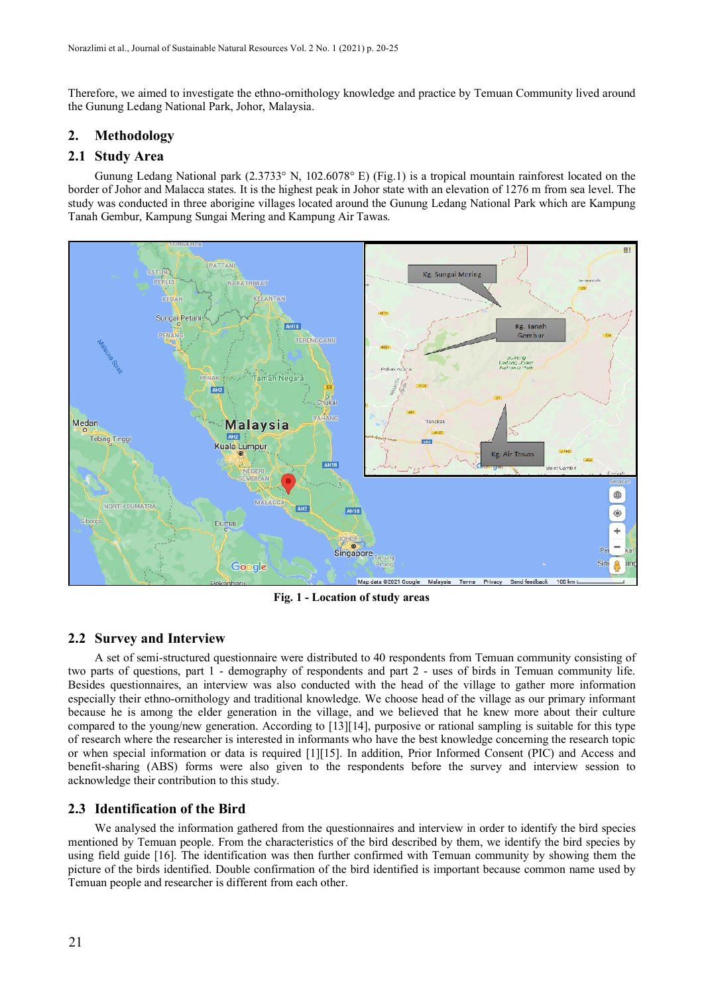Therefore, we aimed to investigate the ethno-ornithology knowledge and practice by Temuan Community lived around the Gunung Ledang National Park, Johor, Malaysia.

### **2. Methodology**

#### **2.1 Study Area**

Gunung Ledang National park (2.3733° N, 102.6078° E) (Fig.1) is a tropical mountain rainforest located on the border of Johor and Malacca states. It is the highest peak in Johor state with an elevation of 1276 m from sea level. The study was conducted in three aborigine villages located around the Gunung Ledang National Park which are Kampung Tanah Gembur, Kampung Sungai Mering and Kampung Air Tawas.



**Fig. 1 - Location of study areas**

#### **2.2 Survey and Interview**

A set of semi-structured questionnaire were distributed to 40 respondents from Temuan community consisting of two parts of questions, part 1 - demography of respondents and part 2 - uses of birds in Temuan community life. Besides questionnaires, an interview was also conducted with the head of the village to gather more information especially their ethno-ornithology and traditional knowledge. We choose head of the village as our primary informant because he is among the elder generation in the village, and we believed that he knew more about their culture compared to the young/new generation. According to [13][14], purposive or rational sampling is suitable for this type of research where the researcher is interested in informants who have the best knowledge concerning the research topic or when special information or data is required [1][15]. In addition, Prior Informed Consent (PIC) and Access and benefit-sharing (ABS) forms were also given to the respondents before the survey and interview session to acknowledge their contribution to this study.

#### **2.3 Identification of the Bird**

We analysed the information gathered from the questionnaires and interview in order to identify the bird species mentioned by Temuan people. From the characteristics of the bird described by them, we identify the bird species by using field guide [16]. The identification was then further confirmed with Temuan community by showing them the picture of the birds identified. Double confirmation of the bird identified is important because common name used by Temuan people and researcher is different from each other.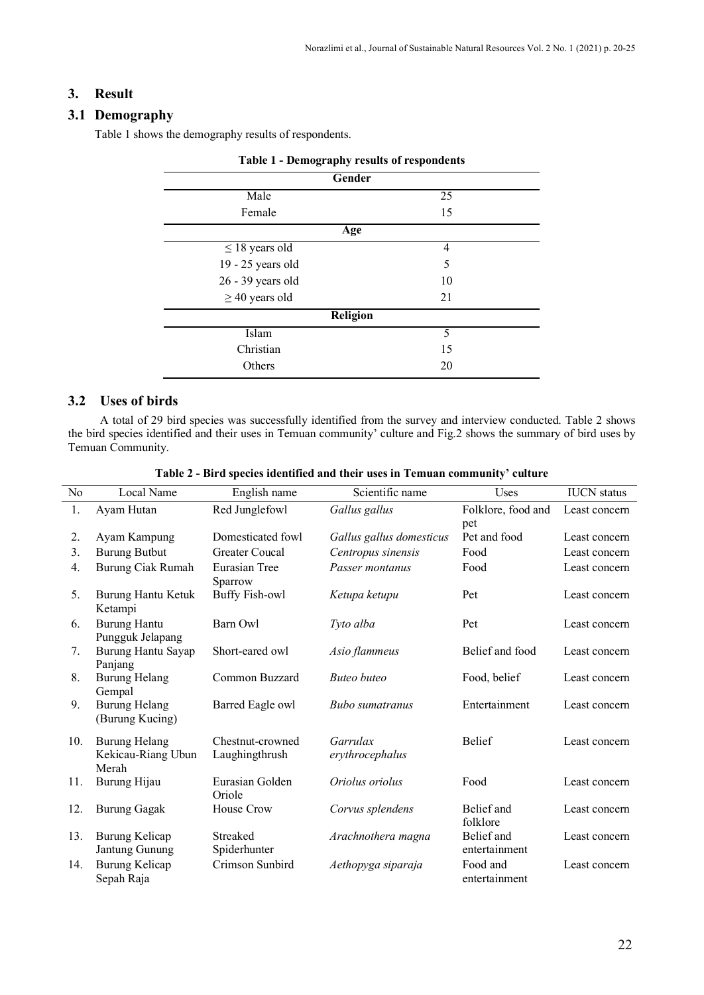## **3. Result**

### **3.1 Demography**

Table 1 shows the demography results of respondents.

| Table 1 - Demography results of respondents |    |  |  |  |  |  |  |
|---------------------------------------------|----|--|--|--|--|--|--|
| Gender                                      |    |  |  |  |  |  |  |
| Male                                        | 25 |  |  |  |  |  |  |
| Female                                      | 15 |  |  |  |  |  |  |
| Age                                         |    |  |  |  |  |  |  |
| $\leq$ 18 years old                         | 4  |  |  |  |  |  |  |
| 19 - 25 years old                           | 5  |  |  |  |  |  |  |
| 26 - 39 years old                           | 10 |  |  |  |  |  |  |
| $\geq$ 40 years old                         | 21 |  |  |  |  |  |  |
| Religion                                    |    |  |  |  |  |  |  |
| Islam                                       | 5  |  |  |  |  |  |  |
| Christian                                   | 15 |  |  |  |  |  |  |
| Others                                      | 20 |  |  |  |  |  |  |

## **3.2 Uses of birds**

A total of 29 bird species was successfully identified from the survey and interview conducted. Table 2 shows the bird species identified and their uses in Temuan community' culture and Fig.2 shows the summary of bird uses by Temuan Community.

| N <sub>0</sub> | Local Name                                          | English name                       | Scientific name             | Uses                        | <b>IUCN</b> status |
|----------------|-----------------------------------------------------|------------------------------------|-----------------------------|-----------------------------|--------------------|
| 1.             | Ayam Hutan                                          | Red Junglefowl                     | Gallus gallus               | Folklore, food and          | Least concern      |
|                |                                                     |                                    |                             | pet                         |                    |
| 2.             | Ayam Kampung                                        | Domesticated fowl                  | Gallus gallus domesticus    | Pet and food                | Least concern      |
| 3.             | <b>Burung Butbut</b>                                | Greater Coucal                     | Centropus sinensis          | Food                        | Least concern      |
| 4.             | Burung Ciak Rumah                                   | Eurasian Tree<br>Sparrow           | Passer montanus             | Food                        | Least concern      |
| 5.             | Burung Hantu Ketuk<br>Ketampi                       | <b>Buffy Fish-owl</b>              | Ketupa ketupu               | Pet                         | Least concern      |
| 6.             | Burung Hantu<br>Pungguk Jelapang                    | Barn Owl                           | Tyto alba                   | Pet                         | Least concern      |
| 7.             | Burung Hantu Sayap<br>Panjang                       | Short-eared owl                    | Asio flammeus               | Belief and food             | Least concern      |
| 8.             | Burung Helang<br>Gempal                             | Common Buzzard                     | <b>Buteo</b> buteo          | Food, belief                | Least concern      |
| 9.             | <b>Burung Helang</b><br>(Burung Kucing)             | Barred Eagle owl                   | <b>Bubo</b> sumatranus      | Entertainment               | Least concern      |
| 10.            | <b>Burung Helang</b><br>Kekicau-Riang Ubun<br>Merah | Chestnut-crowned<br>Laughingthrush | Garrulax<br>erythrocephalus | Belief                      | Least concern      |
| 11.            | Burung Hijau                                        | Eurasian Golden<br>Oriole          | Oriolus oriolus             | Food                        | Least concern      |
| 12.            | <b>Burung Gagak</b>                                 | House Crow                         | Corvus splendens            | Belief and<br>folklore      | Least concern      |
| 13.            | Burung Kelicap<br>Jantung Gunung                    | Streaked<br>Spiderhunter           | Arachnothera magna          | Belief and<br>entertainment | Least concern      |
| 14.            | Burung Kelicap<br>Sepah Raja                        | Crimson Sunbird                    | Aethopyga siparaja          | Food and<br>entertainment   | Least concern      |

**Table 2 - Bird species identified and their uses in Temuan community' culture**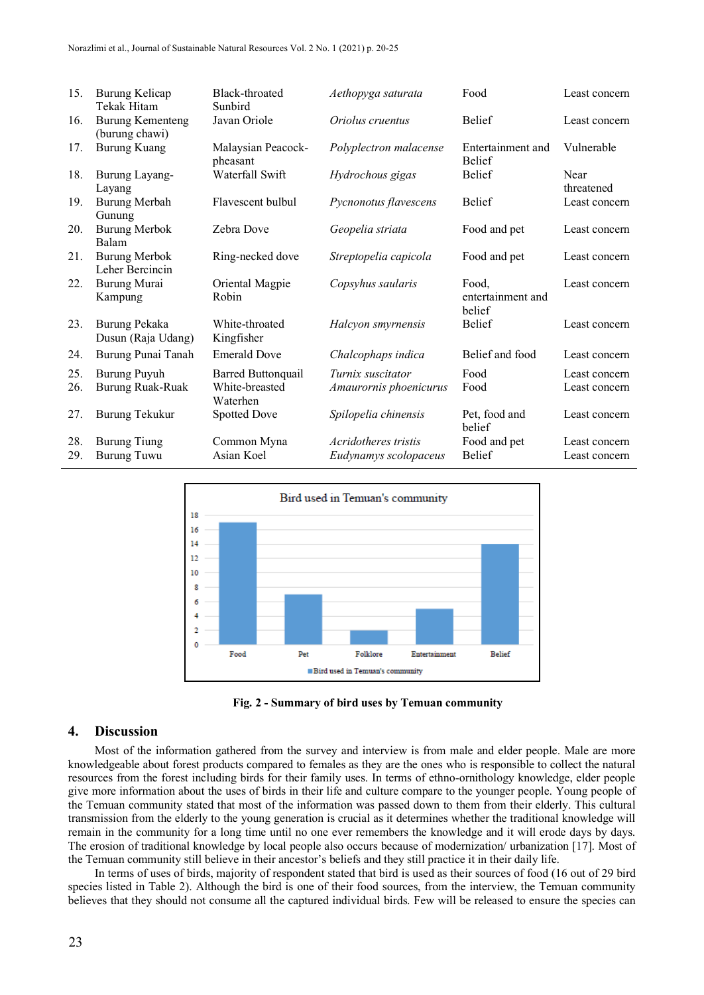| 15.        | Burung Kelicap<br>Tekak Hitam             | Black-throated<br>Sunbird                        | Aethopyga saturata                            | Food                                 | Least concern                  |
|------------|-------------------------------------------|--------------------------------------------------|-----------------------------------------------|--------------------------------------|--------------------------------|
| 16.        | <b>Burung Kementeng</b><br>(burung chawi) | Javan Oriole                                     | Oriolus cruentus                              | <b>Belief</b>                        | Least concern                  |
| 17.        | <b>Burung Kuang</b>                       | Malaysian Peacock-<br>pheasant                   | Polyplectron malacense                        | Entertainment and<br><b>Belief</b>   | Vulnerable                     |
| 18.        | Burung Layang-<br>Layang                  | Waterfall Swift                                  | Hydrochous gigas                              | Belief                               | Near<br>threatened             |
| 19.        | Burung Merbah<br>Gunung                   | Flavescent bulbul                                | Pycnonotus flavescens                         | <b>Belief</b>                        | Least concern                  |
| 20.        | <b>Burung Merbok</b><br>Balam             | Zebra Dove                                       | Geopelia striata                              | Food and pet                         | Least concern                  |
| 21.        | <b>Burung Merbok</b><br>Leher Bercincin   | Ring-necked dove                                 | Streptopelia capicola                         | Food and pet                         | Least concern                  |
| 22.        | Burung Murai<br>Kampung                   | Oriental Magpie<br>Robin                         | Copsyhus saularis                             | Food.<br>entertainment and<br>belief | Least concern                  |
| 23.        | Burung Pekaka<br>Dusun (Raja Udang)       | White-throated<br>Kingfisher                     | Halcyon smyrnensis                            | Belief                               | Least concern                  |
| 24.        | Burung Punai Tanah                        | <b>Emerald Dove</b>                              | Chalcophaps indica                            | Belief and food                      | Least concern                  |
| 25.<br>26. | Burung Puyuh<br>Burung Ruak-Ruak          | Barred Buttonquail<br>White-breasted<br>Waterhen | Turnix suscitator<br>Amaurornis phoenicurus   | Food<br>Food                         | Least concern<br>Least concern |
| 27.        | Burung Tekukur                            | <b>Spotted Dove</b>                              | Spilopelia chinensis                          | Pet, food and<br>belief              | Least concern                  |
| 28.<br>29. | <b>Burung Tiung</b><br><b>Burung Tuwu</b> | Common Myna<br>Asian Koel                        | Acridotheres tristis<br>Eudynamys scolopaceus | Food and pet<br><b>Belief</b>        | Least concern<br>Least concern |



**Fig. 2 - Summary of bird uses by Temuan community**

#### **4. Discussion**

Most of the information gathered from the survey and interview is from male and elder people. Male are more knowledgeable about forest products compared to females as they are the ones who is responsible to collect the natural resources from the forest including birds for their family uses. In terms of ethno-ornithology knowledge, elder people give more information about the uses of birds in their life and culture compare to the younger people. Young people of the Temuan community stated that most of the information was passed down to them from their elderly. This cultural transmission from the elderly to the young generation is crucial as it determines whether the traditional knowledge will remain in the community for a long time until no one ever remembers the knowledge and it will erode days by days. The erosion of traditional knowledge by local people also occurs because of modernization/ urbanization [17]. Most of the Temuan community still believe in their ancestor's beliefs and they still practice it in their daily life.

In terms of uses of birds, majority of respondent stated that bird is used as their sources of food (16 out of 29 bird species listed in Table 2). Although the bird is one of their food sources, from the interview, the Temuan community believes that they should not consume all the captured individual birds. Few will be released to ensure the species can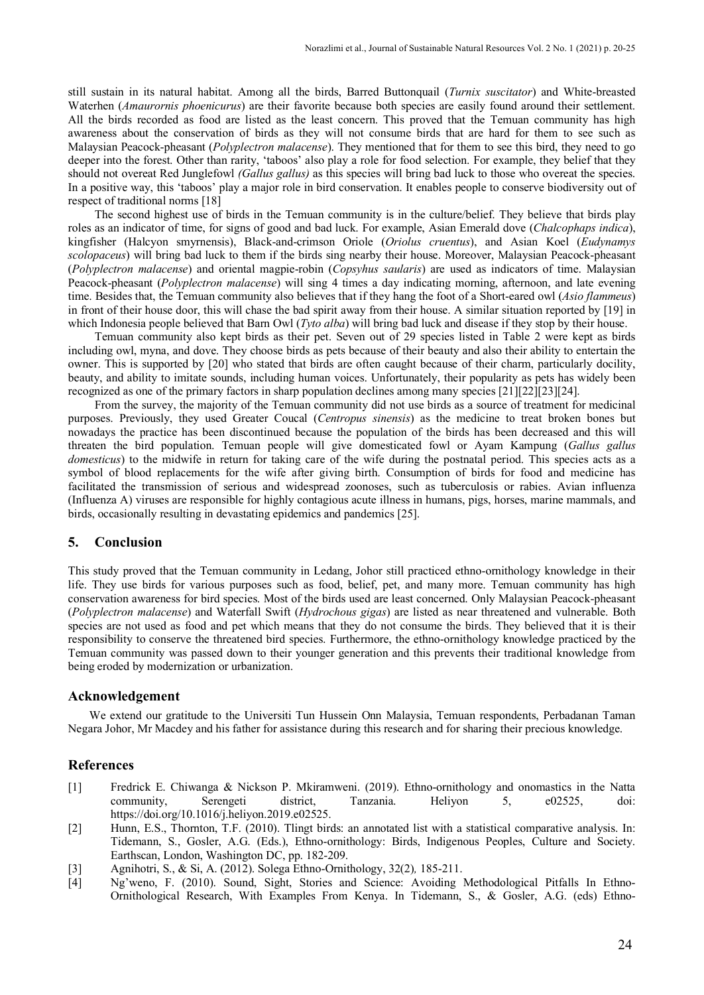still sustain in its natural habitat. Among all the birds, Barred Buttonquail (*Turnix suscitator*) and White-breasted Waterhen (*Amaurornis phoenicurus*) are their favorite because both species are easily found around their settlement. All the birds recorded as food are listed as the least concern. This proved that the Temuan community has high awareness about the conservation of birds as they will not consume birds that are hard for them to see such as Malaysian Peacock-pheasant (*Polyplectron malacense*). They mentioned that for them to see this bird, they need to go deeper into the forest. Other than rarity, 'taboos' also play a role for food selection. For example, they belief that they should not overeat Red Junglefowl *(Gallus gallus)* as this species will bring bad luck to those who overeat the species. In a positive way, this 'taboos' play a major role in bird conservation. It enables people to conserve biodiversity out of respect of traditional norms [18]

The second highest use of birds in the Temuan community is in the culture/belief. They believe that birds play roles as an indicator of time, for signs of good and bad luck. For example, Asian Emerald dove (*Chalcophaps indica*), kingfisher (Halcyon smyrnensis), Black-and-crimson Oriole (*Oriolus cruentus*), and Asian Koel (*Eudynamys scolopaceus*) will bring bad luck to them if the birds sing nearby their house. Moreover, Malaysian Peacock-pheasant (*Polyplectron malacense*) and oriental magpie-robin (*Copsyhus saularis*) are used as indicators of time. Malaysian Peacock-pheasant (*Polyplectron malacense*) will sing 4 times a day indicating morning, afternoon, and late evening time. Besides that, the Temuan community also believes that if they hang the foot of a Short-eared owl (*Asio flammeus*) in front of their house door, this will chase the bad spirit away from their house. A similar situation reported by [19] in which Indonesia people believed that Barn Owl (*Tyto alba*) will bring bad luck and disease if they stop by their house.

Temuan community also kept birds as their pet. Seven out of 29 species listed in Table 2 were kept as birds including owl, myna, and dove. They choose birds as pets because of their beauty and also their ability to entertain the owner. This is supported by [20] who stated that birds are often caught because of their charm, particularly docility, beauty, and ability to imitate sounds, including human voices. Unfortunately, their popularity as pets has widely been recognized as one of the primary factors in sharp population declines among many species [21][22][23][24].

From the survey, the majority of the Temuan community did not use birds as a source of treatment for medicinal purposes. Previously, they used Greater Coucal (*Centropus sinensis*) as the medicine to treat broken bones but nowadays the practice has been discontinued because the population of the birds has been decreased and this will threaten the bird population. Temuan people will give domesticated fowl or Ayam Kampung (*Gallus gallus domesticus*) to the midwife in return for taking care of the wife during the postnatal period. This species acts as a symbol of blood replacements for the wife after giving birth. Consumption of birds for food and medicine has facilitated the transmission of serious and widespread zoonoses, such as tuberculosis or rabies. Avian influenza (Influenza A) viruses are responsible for highly contagious acute illness in humans, pigs, horses, marine mammals, and birds, occasionally resulting in devastating epidemics and pandemics [25].

#### **5. Conclusion**

This study proved that the Temuan community in Ledang, Johor still practiced ethno-ornithology knowledge in their life. They use birds for various purposes such as food, belief, pet, and many more. Temuan community has high conservation awareness for bird species. Most of the birds used are least concerned. Only Malaysian Peacock-pheasant (*Polyplectron malacense*) and Waterfall Swift (*Hydrochous gigas*) are listed as near threatened and vulnerable. Both species are not used as food and pet which means that they do not consume the birds. They believed that it is their responsibility to conserve the threatened bird species. Furthermore, the ethno-ornithology knowledge practiced by the Temuan community was passed down to their younger generation and this prevents their traditional knowledge from being eroded by modernization or urbanization.

#### **Acknowledgement**

We extend our gratitude to the Universiti Tun Hussein Onn Malaysia, Temuan respondents, Perbadanan Taman Negara Johor, Mr Macdey and his father for assistance during this research and for sharing their precious knowledge.

#### **References**

- [1] Fredrick E. Chiwanga & Nickson P. Mkiramweni. (2019). Ethno-ornithology and onomastics in the Natta community, Serengeti district, Tanzania. Heliyon 5, e02525, doi: https://doi.org/10.1016/j.heliyon.2019.e02525.
- [2] Hunn, E.S., Thornton, T.F. (2010). Tlingt birds: an annotated list with a statistical comparative analysis. In: Tidemann, S., Gosler, A.G. (Eds.), Ethno-ornithology: Birds, Indigenous Peoples, Culture and Society. Earthscan, London, Washington DC, pp. 182-209.
- [3] Agnihotri, S., & Si, A. (2012). Solega Ethno-Ornithology, 32(2)*,* 185-211.
- [4] Ng'weno, F. (2010). Sound, Sight, Stories and Science: Avoiding Methodological Pitfalls In Ethno-Ornithological Research, With Examples From Kenya. In Tidemann, S., & Gosler, A.G. (eds) Ethno-